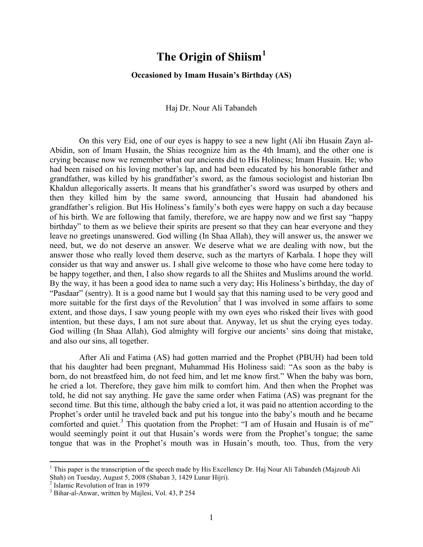## **The Origin of Shiism[1](#page-0-0)**

## **Occasioned by Imam Husain's Birthday (AS)**

## Haj Dr. Nour Ali Tabandeh

On this very Eid, one of our eyes is happy to see a new light (Ali ibn Husain Zayn al-Abidin, son of Imam Husain, the Shias recognize him as the 4th Imam), and the other one is crying because now we remember what our ancients did to His Holiness; Imam Husain. He; who had been raised on his loving mother's lap, and had been educated by his honorable father and grandfather, was killed by his grandfather's sword, as the famous sociologist and historian Ibn Khaldun allegorically asserts. It means that his grandfather's sword was usurped by others and then they killed him by the same sword, announcing that Husain had abandoned his grandfather's religion. But His Holiness's family's both eyes were happy on such a day because of his birth. We are following that family, therefore, we are happy now and we first say "happy birthday" to them as we believe their spirits are present so that they can hear everyone and they leave no greetings unanswered. God willing (In Shaa Allah), they will answer us, the answer we need, but, we do not deserve an answer. We deserve what we are dealing with now, but the answer those who really loved them deserve, such as the martyrs of Karbala. I hope they will consider us that way and answer us. I shall give welcome to those who have come here today to be happy together, and then, I also show regards to all the Shiites and Muslims around the world. By the way, it has been a good idea to name such a very day; His Holiness's birthday, the day of "Pasdaar" (sentry). It is a good name but I would say that this naming used to be very good and more suitable for the first days of the Revolution<sup>[2](#page-0-1)</sup> that I was involved in some affairs to some extent, and those days, I saw young people with my own eyes who risked their lives with good intention, but these days, I am not sure about that. Anyway, let us shut the crying eyes today. God willing (In Shaa Allah), God almighty will forgive our ancients' sins doing that mistake, and also our sins, all together.

After Ali and Fatima (AS) had gotten married and the Prophet (PBUH) had been told that his daughter had been pregnant, Muhammad His Holiness said: "As soon as the baby is born, do not breastfeed him, do not feed him, and let me know first." When the baby was born, he cried a lot. Therefore, they gave him milk to comfort him. And then when the Prophet was told, he did not say anything. He gave the same order when Fatima (AS) was pregnant for the second time. But this time, although the baby cried a lot, it was paid no attention according to the Prophet's order until he traveled back and put his tongue into the baby's mouth and he became comforted and quiet.<sup>[3](#page-0-2)</sup> This quotation from the Prophet: "I am of Husain and Husain is of me" would seemingly point it out that Husain's words were from the Prophet's tongue; the same tongue that was in the Prophet's mouth was in Husain's mouth, too. Thus, from the very

<span id="page-0-0"></span><sup>&</sup>lt;sup>1</sup> This paper is the transcription of the speech made by His Excellency Dr. Haj Nour Ali Tabandeh (Majzoub Ali Shah) on Tuesday, August 5, 2008 (Shaban 3, 1429 Lunar Hijri).<br><sup>2</sup> Islamic Revolution of Iran in 1979

<span id="page-0-1"></span>

<span id="page-0-2"></span><sup>3</sup> Bihar-al-Anwar, written by Majlesi, Vol. 43, P 254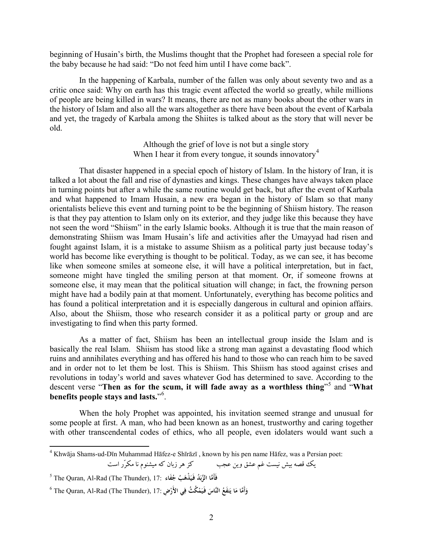beginning of Husain's birth, the Muslims thought that the Prophet had foreseen a special role for the baby because he had said: "Do not feed him until I have come back".

In the happening of Karbala, number of the fallen was only about seventy two and as a critic once said: Why on earth has this tragic event affected the world so greatly, while millions of people are being killed in wars? It means, there are not as many books about the other wars in the history of Islam and also all the wars altogether as there have been about the event of Karbala and yet, the tragedy of Karbala among the Shiites is talked about as the story that will never be old.

> Although the grief of love is not but a single story When I hear it from every tongue, it sounds innovatory<sup>4</sup>

That disaster happened in a special epoch of history of Islam. In the history of Iran, it is talked a lot about the fall and rise of dynasties and kings. These changes have always taken place in turning points but after a while the same routine would get back, but after the event of Karbala and what happened to Imam Husain, a new era began in the history of Islam so that many orientalists believe this event and turning point to be the beginning of Shiism history. The reason is that they pay attention to Islam only on its exterior, and they judge like this because they have not seen the word "Shiism" in the early Islamic books. Although it is true that the main reason of demonstrating Shiism was Imam Husain's life and activities after the Umayyad had risen and fought against Islam, it is a mistake to assume Shiism as a political party just because today's world has become like everything is thought to be political. Today, as we can see, it has become like when someone smiles at someone else, it will have a political interpretation, but in fact, someone might have tingled the smiling person at that moment. Or, if someone frowns at someone else, it may mean that the political situation will change; in fact, the frowning person might have had a bodily pain at that moment. Unfortunately, everything has become politics and has found a political interpretation and it is especially dangerous in cultural and opinion affairs. Also, about the Shiism, those who research consider it as a political party or group and are investigating to find when this party formed.

As a matter of fact, Shiism has been an intellectual group inside the Islam and is basically the real Islam. Shiism has stood like a strong man against a devastating flood which ruins and annihilates everything and has offered his hand to those who can reach him to be saved and in order not to let them be lost. This is Shiism. This Shiism has stood against crises and revolutions in today's world and saves whatever God has determined to save. According to the descent verse "Then as for the scum, it will fade away as a worthless thing"<sup>5</sup> and "What benefits people stays and lasts."<sup>6</sup>.

When the holy Prophet was appointed, his invitation seemed strange and unusual for some people at first. A man, who had been known as an honest, trustworthy and caring together with other transcendental codes of ethics, who all people, even idolaters would want such a

يك قصه بيش نيست غم عشق وين عجب كز هر زبان كه ميشنوم نا مكرّر است

<sup>4</sup> Khwāja Shams-ud-Dīn Muhammad Hāfez-e Shīrāzī , known by his pen name Hāfez, was a Persian poet:

<sup>5</sup> The Quran, Al-Rad (The Thunder), 17: **َّماَأَ َُد ف َ ُب َّ الزب ُ َفـي َفاء َ ْذه ج**

 $^6$  The Quran, Al-Rad (The Thunder), 17: فَإِنَّةٌ فِي الأَرْضِ (The Thunder) تَفَعُ النَّاسَ فَيَمْكُثُ فِي الأَرْضِ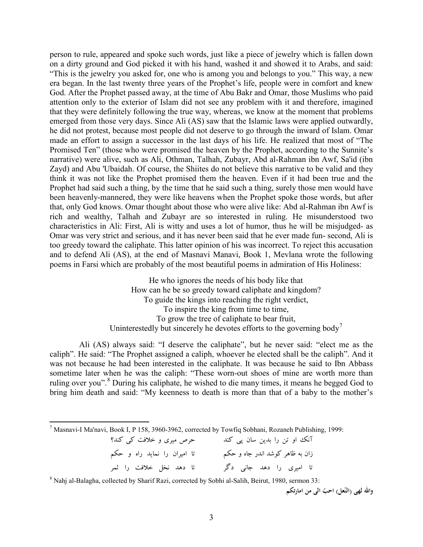person to rule, appeared and spoke such words, just like a piece of jewelry which is fallen down on a dirty ground and God picked it with his hand, washed it and showed it to Arabs, and said: "This is the jewelry you asked for, one who is among you and belongs to you." This way, a new era began. In the last twenty three years of the Prophet's life, people were in comfort and knew God. After the Prophet passed away, at the time of Abu Bakr and Omar, those Muslims who paid attention only to the exterior of Islam did not see any problem with it and therefore, imagined that they were definitely following the true way, whereas, we know at the moment that problems emerged from those very days. Since Ali (AS) saw that the Islamic laws were applied outwardly, he did not protest, because most people did not deserve to go through the inward of Islam. Omar made an effort to assign a successor in the last days of his life. He realized that most of "The Promised Ten" (those who were promised the heaven by the Prophet, according to the Sunnite's narrative) were alive, such as Ali, Othman, Talhah, Zubayr, Abd al-Rahman ibn Awf, Sa'id (ibn Zayd) and Abu 'Ubaidah. Of course, the Shiites do not believe this narrative to be valid and they think it was not like the Prophet promised them the heaven. Even if it had been true and the Prophet had said such a thing, by the time that he said such a thing, surely those men would have been heavenly-mannered, they were like heavens when the Prophet spoke those words, but after that, only God knows. Omar thought about those who were alive like: Abd al-Rahman ibn Awf is rich and wealthy, Talhah and Zubayr are so interested in ruling. He misunderstood two characteristics in Ali: First, Ali is witty and uses a lot of humor, thus he will be misjudged- as Omar was very strict and serious, and it has never been said that he ever made fun- second, Ali is too greedy toward the caliphate. This latter opinion of his was incorrect. To reject this accusation and to defend Ali (AS), at the end of Masnavi Manavi, Book 1, Mevlana wrote the following poems in Farsi which are probably of the most beautiful poems in admiration of His Holiness:

> He who ignores the needs of his body like that How can he be so greedy toward caliphate and kingdom? To guide the kings into reaching the right verdict, To inspire the king from time to time, To grow the tree of caliphate to bear fruit, Uninterestedly but sincerely he devotes efforts to the governing body<sup>[7](#page-2-0)</sup>

Ali (AS) always said: "I deserve the caliphate", but he never said: "elect me as the caliph". He said: "The Prophet assigned a caliph, whoever he elected shall be the caliph". And it was not because he had been interested in the caliphate. It was because he said to Ibn Abbass sometime later when he was the caliph: "These worn-out shoes of mine are worth more than ruling over you".<sup>[8](#page-2-1)</sup> During his caliphate, he wished to die many times, it means he begged God to bring him death and said: "My keenness to death is more than that of a baby to the mother's

<span id="page-2-0"></span><sup>7</sup> Masnavi-I Ma'navi, Book I, P 158, 3960-3962, corrected by Towfiq Sobhani, Rozaneh Publishing, 1999:

| حرص میری و خلافت کی کند؟     | آنک او تن را بدین سان پی کند    |  |
|------------------------------|---------------------------------|--|
| تا امیران را نماید راه و حکم | زان به ظاهر کوشد اندر جاه و حکم |  |
| تا دهد نخل خلافت را ثمر      | تا امیری را دهد جانی دگر        |  |

<span id="page-2-1"></span><sup>8</sup> Nahj al-Balagha, collected by Sharif Razi, corrected by Sobhi al-Salih, Beirut, 1980, sermon 33:

**ّ واالله عل) احب لهی (الن الی من امارتکم ّ**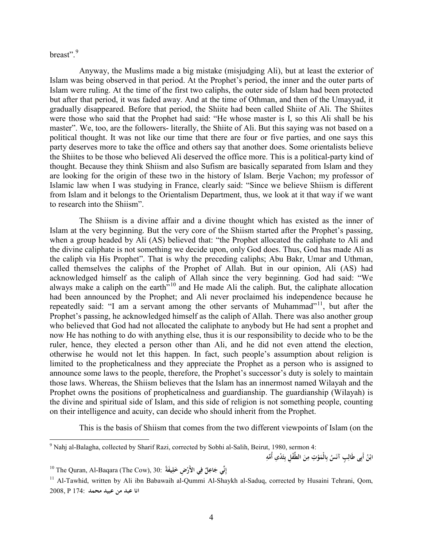breast".<sup>[9](#page-3-0)</sup>

Anyway, the Muslims made a big mistake (misjudging Ali), but at least the exterior of Islam was being observed in that period. At the Prophet's period, the inner and the outer parts of Islam were ruling. At the time of the first two caliphs, the outer side of Islam had been protected but after that period, it was faded away. And at the time of Othman, and then of the Umayyad, it gradually disappeared. Before that period, the Shiite had been called Shiite of Ali. The Shiites were those who said that the Prophet had said: "He whose master is I, so this Ali shall be his master". We, too, are the followers- literally, the Shiite of Ali. But this saying was not based on a political thought. It was not like our time that there are four or five parties, and one says this party deserves more to take the office and others say that another does. Some orientalists believe the Shiites to be those who believed Ali deserved the office more. This is a political-party kind of thought. Because they think Shiism and also Sufism are basically separated from Islam and they are looking for the origin of these two in the history of Islam. Berje Vachon; my professor of Islamic law when I was studying in France, clearly said: "Since we believe Shiism is different from Islam and it belongs to the Orientalism Department, thus, we look at it that way if we want to research into the Shiism".

The Shiism is a divine affair and a divine thought which has existed as the inner of Islam at the very beginning. But the very core of the Shiism started after the Prophet's passing, when a group headed by Ali (AS) believed that: "the Prophet allocated the caliphate to Ali and the divine caliphate is not something we decide upon, only God does. Thus, God has made Ali as the caliph via His Prophet". That is why the preceding caliphs; Abu Bakr, Umar and Uthman, called themselves the caliphs of the Prophet of Allah. But in our opinion, Ali (AS) had acknowledged himself as the caliph of Allah since the very beginning. God had said: "We always make a caliph on the earth<sup> $510$  $510$ </sup> and He made Ali the caliph. But, the caliphate allocation had been announced by the Prophet; and Ali never proclaimed his independence because he repeatedly said: "I am a servant among the other servants of Muhammad"<sup>11</sup>, but after the Prophet's passing, he acknowledged himself as the caliph of Allah. There was also another group who believed that God had not allocated the caliphate to anybody but He had sent a prophet and now He has nothing to do with anything else, thus it is our responsibility to decide who to be the ruler, hence, they elected a person other than Ali, and he did not even attend the election, otherwise he would not let this happen. In fact, such people's assumption about religion is limited to the propheticalness and they appreciate the Prophet as a person who is assigned to announce some laws to the people, therefore, the Prophet's successor's duty is solely to maintain those laws. Whereas, the Shiism believes that the Islam has an innermost named Wilayah and the Prophet owns the positions of propheticalness and guardianship. The guardianship (Wilayah) is the divine and spiritual side of Islam, and this side of religion is not something people, counting on their intelligence and acuity, can decide who should inherit from the Prophet.

This is the basis of Shiism that comes from the two different viewpoints of Islam (on the

ابْنُ أَبِى طَالِبٍ آنَسُ بِالْمَوْتِ مِنَ الطِّفْلِ بِثَدْيِ أُمِّهِ .<br>با

<span id="page-3-0"></span><sup>&</sup>lt;sup>9</sup> Nahj al-Balagha, collected by Sharif Razi, corrected by Sobhi al-Salih, Beirut, 1980, sermon 4:

<span id="page-3-1"></span><sup>10</sup> The Quran, Al-Baqara (The Cow), 30: **نِّيِ ٌ إ ِل ْ <sup>ف</sup> ِض ِ <sup>ج</sup> <sup>ي</sup> َاع ً الأَر َيفة ِ**

<span id="page-3-2"></span><sup>&</sup>lt;sup>11</sup> Al-Tawhid, written by Ali ibn Babawaih al-Qummi Al-Shaykh al-Saduq, corrected by Husaini Tehrani, Qom, **انا عبد من عبيد محمد** 174: P 2008,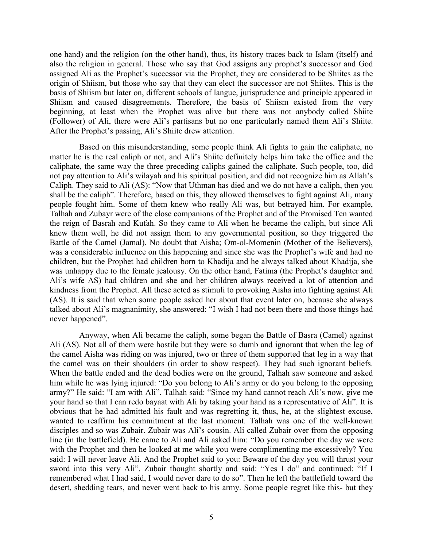one hand) and the religion (on the other hand), thus, its history traces back to Islam (itself) and also the religion in general. Those who say that God assigns any prophet's successor and God assigned Ali as the Prophet's successor via the Prophet, they are considered to be Shiites as the origin of Shiism, but those who say that they can elect the successor are not Shiites. This is the basis of Shiism but later on, different schools of langue, jurisprudence and principle appeared in Shiism and caused disagreements. Therefore, the basis of Shiism existed from the very beginning, at least when the Prophet was alive but there was not anybody called Shiite (Follower) of Ali, there were Ali's partisans but no one particularly named them Ali's Shiite. After the Prophet's passing, Ali's Shiite drew attention.

Based on this misunderstanding, some people think Ali fights to gain the caliphate, no matter he is the real caliph or not, and Ali's Shiite definitely helps him take the office and the caliphate, the same way the three preceding caliphs gained the caliphate. Such people, too, did not pay attention to Ali's wilayah and his spiritual position, and did not recognize him as Allah's Caliph. They said to Ali (AS): "Now that Uthman has died and we do not have a caliph, then you shall be the caliph". Therefore, based on this, they allowed themselves to fight against Ali, many people fought him. Some of them knew who really Ali was, but betrayed him. For example, Talhah and Zubayr were of the close companions of the Prophet and of the Promised Ten wanted the reign of Basrah and Kufah. So they came to Ali when he became the caliph, but since Ali knew them well, he did not assign them to any governmental position, so they triggered the Battle of the Camel (Jamal). No doubt that Aisha; Om-ol-Momenin (Mother of the Believers), was a considerable influence on this happening and since she was the Prophet's wife and had no children, but the Prophet had children born to Khadija and he always talked about Khadija, she was unhappy due to the female jealousy. On the other hand, Fatima (the Prophet's daughter and Ali's wife AS) had children and she and her children always received a lot of attention and kindness from the Prophet. All these acted as stimuli to provoking Aisha into fighting against Ali (AS). It is said that when some people asked her about that event later on, because she always talked about Ali's magnanimity, she answered: "I wish I had not been there and those things had never happened".

Anyway, when Ali became the caliph, some began the Battle of Basra (Camel) against Ali (AS). Not all of them were hostile but they were so dumb and ignorant that when the leg of the camel Aisha was riding on was injured, two or three of them supported that leg in a way that the camel was on their shoulders (in order to show respect). They had such ignorant beliefs. When the battle ended and the dead bodies were on the ground, Talhah saw someone and asked him while he was lying injured: "Do you belong to Ali's army or do you belong to the opposing army?" He said: "I am with Ali". Talhah said: "Since my hand cannot reach Ali's now, give me your hand so that I can redo bayaat with Ali by taking your hand as a representative of Ali". It is obvious that he had admitted his fault and was regretting it, thus, he, at the slightest excuse, wanted to reaffirm his commitment at the last moment. Talhah was one of the well-known disciples and so was Zubair. Zubair was Ali's cousin. Ali called Zubair over from the opposing line (in the battlefield). He came to Ali and Ali asked him: "Do you remember the day we were with the Prophet and then he looked at me while you were complimenting me excessively? You said: I will never leave Ali. And the Prophet said to you: Beware of the day you will thrust your sword into this very Ali". Zubair thought shortly and said: "Yes I do" and continued: "If I remembered what I had said, I would never dare to do so". Then he left the battlefield toward the desert, shedding tears, and never went back to his army. Some people regret like this- but they